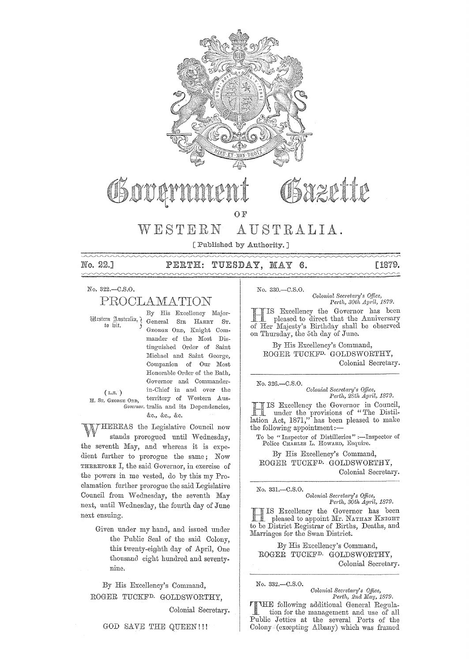

## Sazette OSOUC OF

WESTERN AUSTRALIA.

[ Published by Authority.]

No. 22.1  $\sim\sim\sim\sim$ 

#### PERTH: TUESDAY, MAY  $6.$

[1879.

No. 322.-C.S.O.

## PROCLAMATION

Mestern Australia, 7 to hit.

By His Excellency Major-General SIR HARRY ST. GEORGE ORD, Knight Commander of the Most Distinguished Order of Saint Michael and Saint George, Companion of Our Most Honorable Order of the Bath, Governor and Commanderin-Chief in and over the territory of Western Aus-Governor. tralia and its Dependencies, &c., &c., &c.

 $(L,s.)$ H. Sr. GEORGE ORD,

HEREAS the Legislative Council now stands prorogued until Wednesday, the seventh May, and whereas it is expedient further to prorogue the same; Now THEREFORE I, the said Governor, in exercise of the powers in me vested, do by this my Proclamation further prorogue the said Legislative Council from Wednesday, the seventh May next, until Wednesday, the fourth day of June next ensuing.

> Given under my hand, and issued under the Public Seal of the said Colony, this twenty-eighth day of April, One thousand eight hundred and seventynine.

By His Excellency's Command, ROGER TUCKF<sup>D.</sup> GOLDSWORTHY,

Colonial Secretary.

No. 330.-C.S.O. Colonial Secretary's Office, Perth, 30th April, 1879.

IS Excellency the Governor has been pleased to direct that the Anniversary of Her Majesty's Birthday shall be observed on Thursday, the 5th day of June.

By His Excellency's Command, ROGER TUCKF<sup>D.</sup> GOLDSWORTHY, Colonial Secretary.

No. 326 .- C.S.O.

Colonial Secretary's Office, Perth, 28th April, 1879.

IS Excellency the Governor in Council, and Tunder the provisions of "The Distillation Act, 1871," has been pleased to make the following appointment:-

To be "Inspector of Distilleries" :--Inspector of Police CHARLES L. HOWARD, Esquire.

By His Excellency's Command, ROGER TUCKF<sup>D</sup> GOLDSWORTHY, Colonial Secretary.

No. 331.- $C.S.O.$ 

Colonial Secretary's Office, Perth, 30th April, 1879.

IS Excellency the Governor has been pleased to appoint Mr. NATHAN KNIGHT to be District Registrar of Births, Deaths, and Marriages for the Swan District.

By His Excellency's Command, ROGER TUCKF<sup>D.</sup> GOLDSWORTHY, Colonial Secretary.

No. 332 .- C.S.O.

Colonial Secretary's Office, Perth, 2nd May, 1879.

**TIME** following additional General Regulation for the management and use of all Public Jetties at the several Ports of the Colony (excepting Albany) which was framed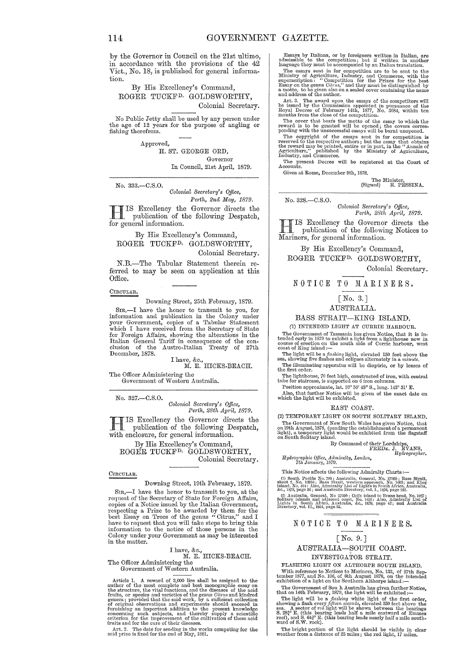by the Governor in Council on the 21st ultimo, in accordance with the provisions of the 42 Vict., No.  $18$ , is published for general information.

By His Excellency's Command, ROGER TUCKFD. GOLDSWORTHY, Colonial Secretary.

No Public Jetty shall be used by any person under the age of 12 years for the purpose of angling or fishing therefrom.

> Approved, H. ST. GEORGE ORD,

Governor In Council, 21st April, 1879.

No. 333.-C.S.0.

*Oolonial Secj'etary's Office, Perth, 2nd May, 1879.* 

**TTIS** Excellency the Governor directs the publication of the following Despatch, for general information.

## By His Excellency's Command, ROGER TUCKFD. GOLDSWORTHY, Colonial Secretary.

N.B.-The Tabular Statement therein referred to may be seen on application at this Office.

#### CIRCULAR.

Downing Street, 25th February, 1879.

SIR,-I have the honor to transmit to you, for information and publication in the Colony under<br>your Government, copies of a Tabular Statement<br>which I have received from the Secretary of State for Foreign Affairs, showing the alterations in the Italian General Tariff in consequence of the con- clusion of the Austro-Italian Treaty of 27th December, 1878.

I have, &c., M. E. HICKS-BEACH.

The Officer Administering the Government of Western Australia.

No. 327.-C.S.0.

*Oolonial Sec)'ctary's Office, Perth, 28th Apj'il, 1879.* 

 $\begin{bmatrix} \text{TS} & \text{Excellency} & \text{the} & \text{Government} & \text{Apru}, 1879. \\ \text{publication of the 4--11} & \text{F1} & \text{F1} \\ \end{bmatrix}$ **I** publication of the following Despatch, with enclosure, for general information.

By His Excellency's Command, ROGER TUCKFD. GOLDSWORTHY, Colonial Secretary.

#### CIRCULAR.

Downing Street, 19th February, 1879.

Sm,-I have the honor to transmit to you, at the request of the Secretary of State for Foreign Affairs,<br>copies of a Notice issued by the Italian Government,<br>respecting a Prize to be awarded by them for the<br>best Essay on Trees of the genus "Citrus," and I<br>have to request in the matter.

## I have, &c., M. E. HICKS-BEACH.

The Officer Administering the Government of Western Australia.

Article 1. A reward of 3,000 lire shall be assigned to the author of the most complete and best monographic essay on the structure, the vital functions, and the diseases of the acid fruits, or species and varieties of the genus Citrus and kindred genera; provided that the said work, by a sufficient collection of original observations and experiments should succeed in furnishing an important addition t concerning such subjects, and thereby supply a scientific<br>criterion for the improvement of the cultivation of these acid<br>fruits and for the cure of their diseases.<br>Art. 2. The date for sending in the works competing for th

Essays by Italians, or by foreigners written in Italian, are admissible to the competition; but if written in another language they must be accompanied by an Italian translation.

The essays sent in for competition are to be sent to the Ministry of Agriculture, Industry, and Commerce, with the superscription : "Competition for the Prizes for the best Essay on the genus Citrus," and they must be dis

Art. 3. The award upon the essays of the competitors will be issued by the Commission appointed in pursuance of the Royal Decree of February 14th, 1877, No. 3684, within ten months from the close of the competition.

The cover that bear's the motto of the essay to which the reward is to be granted will be opened;<br>reward is to be granted will be opened; the covers corres-<br>ponding with the unsuccessful essays will be burnt unopened.

 $p$  on<br>any wint the unsuccessitul essays will be burnt unopened. The copyright of the essays sent in for competition is reserved to the reward may be printed, entire or in part, in the "Annals of the reward may be printed

The present Decree will be registered at the Court of Accounts.

Given at Rome, December 9th, 1878.

The Minister,<br>
(Signed) E. PESSINA.

No. 328.-C.S.0.

*Colonial Secretary's Office, Pe)'th, 28th AP1'il, 1879.* 

H IS Excellency the Governor directs the publication of the following Notices to Mariners, for general information.

By His Excellency's Command, ROGER TUCKFD. GOLDSWORTHY,

Colomal Secretary.

## NOTICE TO MARINERS.

#### [No. 3. J

AUSTRALIA.

BASS STRAIT-KING ISLAND.

(1) INTENDED LIGHT AT CURRIE HARBOUR.

The Government of Tasmania has given Notice, that it is intended early in 1879 to exhibit a light from a lighthouse now in course of erection ou the south side of Currie harbour, west coast of King island :-

The light will be a *flashing* light, elevated 150 feet above the sea, showing five flashes and eclipses alternately in a *minute*. The illuminating apparatus will be dioptric, or by lenses of the first order.

The lighthouse, 70 feet high, constructed of iron, with central tube for staircase, is supported on 6 iron columns.

Position approximate, lat.  $39°56'45''$  S., long.  $143°51'$  E.<br>Also, that further Notice will be given of the exact date on<br>which the light will be exhibited.

### EAST COAST.

(2) TEMPORARY LIGHT ON SOUTH SOLITARY ISLAND. The Government of New South Wales has given Notice, that on 19th August, 1878, (pending the establishment of a permanent light), a temporary light would be exhibited from the flagstaff on South Solitary island.

By Command of their Lordships,<br>FRED<sub>E</sub>. J. EVANS,<br>*Hydrographer*.

*Hydl'ographic Office, Admiralty, London, 7th January, 1879.* 

This Notice affects the following Admiralty Charts:-

(1) South Pacific No. 788; Australia, General, No. 2759b; Bass Strait, 1sland, No. 404: Also, Admiralty List of Lights in South Africa, Australia,<br>&c., 1879, page 36 ; and Australia Directory, vol. I., 1876, page 262.

<sup>1</sup>: (2) Australia, General, No 2750*b*; Coffs island to Evans head, No. 1027; Solitary islands and adjacent coast, No. 1026; Also, Admiralty List of Lights in South Africa, Australia, &c., 1870, page 42; and Australia. Di

## NOTICE TO MARINERS.

### [No. 9.]

AUSTRALIA-SOUTH COAST. INVESTIGATOR STRAIT.

FLASHING LIGHT ON ALTHORPE SOUTH ISLAND. With reference to Notices to Mariners, No. 133, of 27th Sep-tember 1877, and No. 106, of 6th August 1878, on the intended exhibition of a light on the Southern Althorpe island :--

The Government of Sou h Australia has given further Notice,<br>that on 14th February, 1879, the light will be exhibited :—<br>The light will be a *flashing* white light of the first order,<br>showing a flash every *fifteen seconds* S. 28 $_{1}^{\circ}$  E. (this bearing leads half a mile eastward of Emmes reef), and S. 64? E.<br>reef), and S. W. rock).<br>ward of S.W. rock).

The bright portion of the light should be visible in clear weather from a distance of 25 miles; the red light, 17 miles.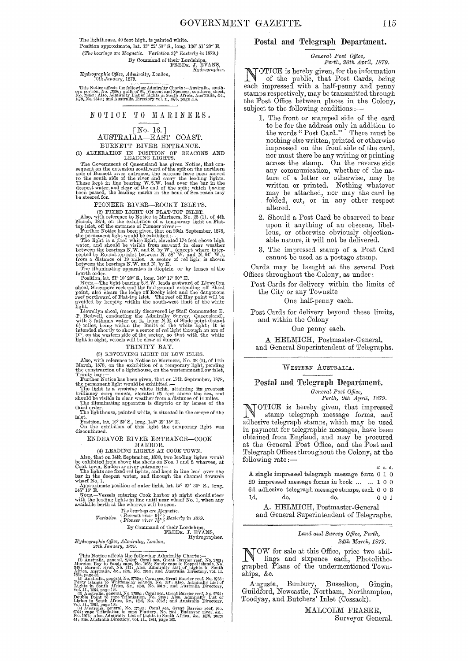The lighthouse, 40 feet high, is painted white. Position approximate, lat. 35° 22' 50" S., long. 136° 51' 20" E. C, .....<br>agnetic. Variation 34 Eurocas, By Command of their Lordships,<br>FREDE. J. EVANS, Hydrographer. (The bearings are Magnetic. Variation 3<sup>2</sup><sup>o</sup> Easterly in 1879.)

Hydrographic Office, Admiralty, London,<br>10th January, 1879.

This Notice affects the following Admiralty Charts :—Australia, southern portion, No. 27506; gulfs of St. Vincent and Spencer, southern sheet, No. 2584 : Also, Admiralty List of Lights in South Africa. Australia, &c., 187

## NOTICE TO MARINERS.

# $\begin{array}{ll} & \text{[No. 16.]}\\ \text{AUSTRALIA—EAST COAST.} \end{array}$

BURNETT RIVER ENTRANCE.

(1) ALTERATION IN POSITION OF BEACONS AND LEADING LIGHTS.

LEADING LIGHTS.<br>
The Government of Queensland has given Notice, that consequent on the extension southward of the spit on the northern<br>
sequent on the social of Burnett river entrance, the beacons have been moved<br>
to the s

## PIONEER RIVER-ROCKY ISLETS.

FIONEER RIVER—ROCKY ISLETS.<br>
(2) FIXED LIGHT ON FLAT-TOP ISLET.<br>
(2) FIXED LIGHT ON FLAT-TOP ISLET.<br>
(2) FIXED LIGHT ON FLAT-TOP ISLET.<br>
March, 1874, on the exhibition of a temporary light on Flat-<br>
boy islet, off the ent

### TRINITY BAY.

#### (3) REVOLVING LIGHT ON LOW ISLES.

(3) REVOLVING LIGHT ON LOW ISLES.<br>
Also, with reference to Notice to Mariners, No. 38 (2), of 14th<br>
March, 1878, on the exhibition of a temporary light pending<br>
the construction of a lighthouse, on the onestermost Low is<br>

## ENDEAVOR RIVER ENTRANCE-COOK

ENDEAVOR RIVER ENTRANCE—COOK<br>
HARBOR.<br>
HARBOR.<br>
(4) LEADING LIGHTS AT COOK TOWN.<br>
(4) LEADING LIGHTS AT COOK TOWN.<br>
Also, that on 14th September, 1878, two leading lights would<br>
be exhibited from above the sheds on Nos. 1

# ${ \begin{tabular}{l} \bf{The \textit{bearings are Magnetic.}}\\ \bf{Partition \{ Burnett river \textit{94}^o \} }\\ \textbf{Variation \{ Burnett river \textit{74}^o \} }\\ \end{tabular} }$

Pioneer Tiver  $\ell_X >$ <br>By Command of their Lordships, FREDE. J. EVANS, Hydrographer. Hydrographic Office, Admiralty, London,<br>27th January, 1879.

27th January, 1879.<br>
This Notice affects the following Admiralty Charts: ...<br>
(1) Australia, general,  $2750a$ ; Coral sea, Great Barrier reef, No. 2783;<br>
Morton Bay to Saudy cape, No. 1085; Sandy cape to Keppel islands, No

### Postal and Telegraph Department.

# General Post Office,<br>Perth, 28th April, 1879.

TOTICE is hereby given, for the information<br>of the public, that Post Cards, being each impressed with a half-penny and penny stamps respectively, may be transmitted through the Post Office between places in the Colony, subject to the following conditions:-

- 1. The front or stamped side of the card to be for the address only in addition to<br>the words "Post Card." There must be nothing else written, printed or otherwise impressed on the front side of the card. nor must there be any writing or printing across the stamp. On the reverse side any communication, whether of the nature of a letter or otherwise, may be written or printed. Nothing whatever<br>may be attached, nor may the card be<br>folded, cut, or in any other respect altered.
- 2. Should a Post Card be observed to bear upon it anything of an obscene, libel-<br>lous, or otherwise obviously objectionable nature, it will not be delivered.
- 3. The impressed stamp of a Post Card cannot be used as a postage stamp.

Cards may be bought at the several Post Offices throughout the Colony, as under:

Post Cards for delivery within the limits of the City or any Townsite

One half-penny each.

Post Cards for delivery beyond these limits, and within the Colony

One penny each.

A HELMICH, Postmaster-General, and General Superintendent of Telegraphs.

### WESTERN AUSTRALIA.

Postal and Telegraph Department.

General Post Office,<br>Perth, 9th April, 1879.

NOTICE is hereby given, that impressed<br>stamp telegraph message forms, and adhesive telegraph stamps, which may be used in payment for telegraphic messages, have been obtained from England, and may be procured<br>at the General Post Office, and the Post and Telegraph Offices throughout the Colony, at the following rate:-

A single impressed telegraph message form 0 1 0  $20\,$  impressed message forms in book  $\,\dots\,\,$   $\ldots$   $\,1\,$   $0\,$   $0\,$ 6d. adhesive telegraph message stamps, each 0 0 6 1d. do. do.  $001$ 

A. HELMICH, Postmaster-General and General Superintendent of Telegraphs.

#### Land and Survey Office, Perth, 24th March, 1879.

VOW for sale at this Office, price two shillings and sixters. lings and sixpence each, Photolithographed Plans of the undermentioned Townships, &c.

Augusta, Bunbury, Busselton, Gingin,<br>Guildford, Newcastle, Northam, Northampton, Toodyay, and Butchers' Inlet (Cossack).

> MALCOLM FRASER, Surveyor General.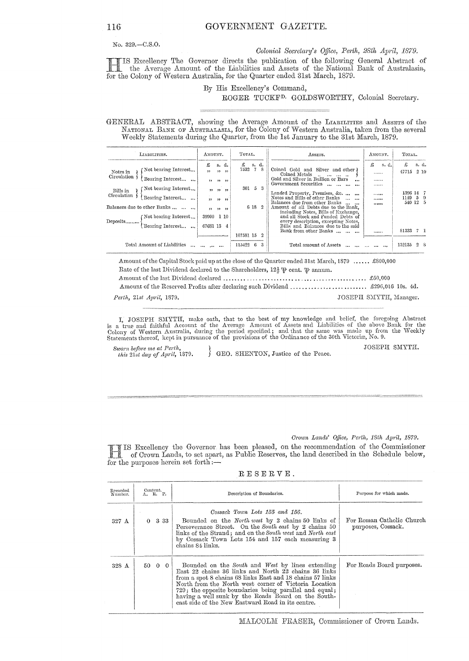No. 329.-C.S.O.

Colonial Secretary's Office, Perth, 28th April, 1879.

IS Excellency The Governor directs the publication of the following General Abstract of the Average Amount of the Liabilities and Assets of the National Bank of Australasia, for the Colony of Western Australia, for the Quarter ended 31st March, 1879.

## By His Excellency's Command, ROGER TUCKF<sup>D.</sup> GOLDSWORTHY, Colonial Secretary.

GENERAL ABSTRACT, showing the Average Amount of the LIABILITIES and ASSETS of the NATIONAL BANK OF AUSTRALASIA, for the Colony of Western Australia, taken from the several Weekly Statements during the Quarter, from the 1st January to the 31st March, 1879.

| LIABILITIES.                                                                                                                                                                                                                      | AMOUNT.                                                                                                | TOTAL.                                             | ASSETS.                                                                                                                                                                                                                                                                                                                                                                                                                                                           | AMOUNT.                             | TOTAL.                                                           |
|-----------------------------------------------------------------------------------------------------------------------------------------------------------------------------------------------------------------------------------|--------------------------------------------------------------------------------------------------------|----------------------------------------------------|-------------------------------------------------------------------------------------------------------------------------------------------------------------------------------------------------------------------------------------------------------------------------------------------------------------------------------------------------------------------------------------------------------------------------------------------------------------------|-------------------------------------|------------------------------------------------------------------|
| Not bearing Interest<br>Notes in<br>Circulation<br>Bearing Interest<br>Not bearing Interest<br>Bills in<br>Circulation<br>Bearing Interest<br>Balances due to other Banks<br>Mot bearing Interest<br>Deposits<br>Bearing Interest | £<br>s. d.<br>$, \,$<br>$33 - 22$<br>22 32 32<br>$\bullet$<br>, 1, 1, 1<br>39900<br>1 10<br>67681 13 4 | £<br>s. d.<br>7532 7<br>-8<br>301 5<br>3<br>6 18 2 | Coined Gold and Silver and other)<br>Coined Metals<br>and the second second<br>Gold and Silver in Bullion or Bars<br>$\ddotsc$<br>Government Securities<br><br>Landed Property, Premises, &c.<br>Notes and Bills of other Banks<br>Balances due from other Banks<br>Amount of all Debts due to the Bank.<br>including Notes, Bills of Exchange,<br>and all Stock and Funded Debts of<br>every description, excepting Notes,<br>Bills and Balances due to the said | £<br>s. d.<br>.<br><br><br><br><br> | £<br>s. d.<br>2 10<br>47715<br>1396 14 7<br>1149 5 9<br>540 12 5 |
|                                                                                                                                                                                                                                   |                                                                                                        | 107581 15<br>2                                     | Bank from other Banks                                                                                                                                                                                                                                                                                                                                                                                                                                             |                                     | 81333 7 1                                                        |
| Total Amount of Liabilities                                                                                                                                                                                                       |                                                                                                        | 115422<br>-6<br>3                                  | Total amount of Assets                                                                                                                                                                                                                                                                                                                                                                                                                                            |                                     | 132135<br>28                                                     |

Amount of the Capital Stock paid up at the close of the Quarter ended 31st March, 1879 ...... £800,000 Rate of the last Dividend declared to the Shareholders,  $12\frac{1}{2}$   $\mathcal{P}$  cent.  $\mathcal{P}$  annum. 

Perth, 21st April, 1879.

I, JOSEPH SMYTH, make oath, that to the best of my knowledge and belief, the foregoing Abstract<br>is a true and faithful Account of the Average Amount of Assets and Liabilities of the above Bank for the<br>Colony of Western Aus

Sworn before me at Perth,<br>this 21st day of April, 1879. GEO. SHENTON, Justice of the Peace. JOSEPH SMYTH.

JOSEPH SMYTH, Manager.

Crown Lands' Office, Perth, 18th April, 1879.

IS Excellency the Governor has been pleased, on the recommendation of the Commissioner of Crown Lands, to set apart, as Public Reserves, the land described in the Schedule below, for the purposes herein set forth:-

| RESERVE. |  |  |  |  |  |  |  |
|----------|--|--|--|--|--|--|--|
|----------|--|--|--|--|--|--|--|

| Recorded<br>Number. | Content.<br>$A. R. P.$ | Description of Boundaries.                                                                                                                                                                                                                                                                                                                                                                           | Purpose for which made.                         |  |  |
|---------------------|------------------------|------------------------------------------------------------------------------------------------------------------------------------------------------------------------------------------------------------------------------------------------------------------------------------------------------------------------------------------------------------------------------------------------------|-------------------------------------------------|--|--|
| $327 \text{ A}$     | $0\quad 3\quad 33$     | Cossack Town Lots 155 and 156.<br>Bounded on the North west by 2 chains 50 links of<br>Perseverance Street. On the South east by 2 chains 50<br>links of the Strand; and on the South west and North east<br>by Cossack Town Lots 154 and 157 each measuring 3<br>chains 84 links.                                                                                                                   | For Roman Catholic Church<br>purposes, Cossack. |  |  |
| 328 A               | 50 0 0                 | Bounded on the South and West by lines extending<br>East 22 chains 36 links and North 22 chains 36 links<br>from a spot 8 chains 68 links East and 18 chains 57 links<br>North from the North west corner of Victoria Location<br>729; the opposite boundaries being parallel and equal;<br>having a well sunk by the Roads Board on the South-<br>east side of the New Eastward Road in its centre. | For Roads Board purposes.                       |  |  |

## 116

MALCOLM FRASER, Commissioner of Crown Lands.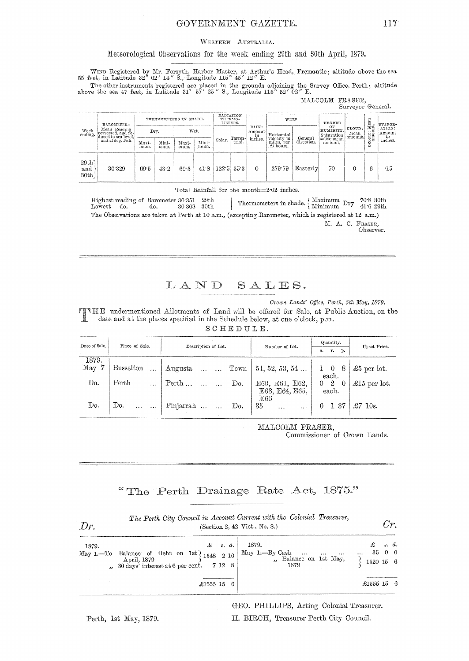## GOVERNMENT GAZETTE.

#### WESTERN AUSTRALIA.

## Meteorological Observations for the week ending 29th and 30th April, 1879.

WIND Registered by Mr. Forsyth, Harbor Master, at Arthur's Head, Fremantle; altitude above the sea 55 feet, in Latitude 32° 02' 14" S., Longitude 115° 45' 12" E.

The other instruments registered are placed in the grounds adjoining the Survey Office, Perth; altitude<br>above the sea 47 feet, in Latitude 31° 57' 25" S., Longitude 115° 52' 02" E.

| MALCOLM FRASER. |                   |  |
|-----------------|-------------------|--|
|                 | Surveyor General. |  |

| BAROMETER:<br>Mean Reading<br>Week<br>ending.<br>corrected, and re-<br>duced to sea level.<br>and 32 deg. Fah. |                    |               | Arrest<br>RADIATION<br>THERMOMETERS IN SHADE.<br>WIND.<br>THERMO-<br>METERS. | DEGREE        |        |                   | Ξ<br>EVAPOR- |                                        |                       |                          |    |            |         |                               |                           |                        |                        |
|----------------------------------------------------------------------------------------------------------------|--------------------|---------------|------------------------------------------------------------------------------|---------------|--------|-------------------|--------------|----------------------------------------|-----------------------|--------------------------|----|------------|---------|-------------------------------|---------------------------|------------------------|------------------------|
|                                                                                                                |                    | Dry.          |                                                                              | Wet.          |        |                   |              |                                        |                       | RAIN:<br>Amount          |    | Horizontal |         | OΕ<br>RUMIDITY,<br>Saturation | CLOUD:<br>Mean<br>amount. | ្ត<br>កម្ម<br><br>OXE: | ATION:<br>Amount<br>in |
|                                                                                                                | Maxi-<br>23111111. | Mini-<br>mum. | Maxi-<br>mum.                                                                | Mini-<br>mum. | Solar. | Terres-<br>trial. | inches.      | velocity in<br>miles, per<br>24 hours. | General<br>direction. | $=100$ : mean<br>amount. |    | O          | inches. |                               |                           |                        |                        |
| 29th<br>and<br>30th                                                                                            | 30.329             | 69.5          | 43.2                                                                         | 60.5          | 41.8   |                   | $122.5$ 35.3 | $\Omega$                               | 279.79                | Easterly                 | 70 |            |         | $-15$                         |                           |                        |                        |

Total Rainfall for the month=2.02 inches.

Highest reading of Barometer 30.351 29th Thermometers in shade.  $\left\{\begin{array}{ll} \text{Maximum} & \text{Dry} & \text{70-8 30th} \\ \text{Minimum} & \text{Dry} & 41\cdot 6 \text{ 29th} \end{array}\right.$ Lowest do. do.  $30^{\circ}308$   $\,$   $30th$ The Observations are taken at Perth at 10 a.m., (excepting Barometer, which is registered at 12 a.m.) M. A. C. FRASER,

Observer.

LAND SALES.

Crown Lands' Office, Perth, 5th May, 1879.

Crown Lands' Office, Perth, 5th May, 1879.<br>
TIME undermentioned Allotments of Land will be offered for Sale, at Public Auction, on the<br>
date and at the places specified in the School Lands date and at the places specified in the Schedule below, at one o'clock, p.m. SCHEDULE.

| Date of Sale.              | Place of Sale.      | Description of Lot. | Number of Lot.                     | Quantity,<br>r.<br>р.<br>a.     | Upset Price.         |
|----------------------------|---------------------|---------------------|------------------------------------|---------------------------------|----------------------|
| 1879.<br>$\rm{May}$<br>- 7 | Busselton<br>$\sim$ | Augusta   Town      | 51, 52, 53, 54                     | $1 \quad 0 \quad 8$<br>each.    | $\pounds 5$ per lot. |
| Do.                        | Perth               | $Perth$<br>Do.      | E60, E61, E62,<br>E63, E64, E65,   | $0\quad 2$<br>$\theta$<br>each. | $\pounds15$ per lot. |
| Do.                        | Do.                 | Pinjarrah<br>Do.    | E66<br>35<br>$\cdots$<br>$\ddotsc$ | 137                             | $\pounds 7$ 10s.     |

MALCOLM FRASER,

Commissioner of Crown Lands.

## "The Perth Drainage Rate Act, 1875."

| Dr.   | The Perth City Council in Account Current with the Colonial Treasurer,<br>(Section 2, 42 Vict., No. 8.)              |                                                         |                            |  |  |  |  |
|-------|----------------------------------------------------------------------------------------------------------------------|---------------------------------------------------------|----------------------------|--|--|--|--|
| 1879. | $\mathcal{L}$ s.d.<br>May 1.-To Balance of Debt on 1st 1548 2 10<br>$\ldots$ 30 days' interest at 6 per cent. 7 12 8 | 1879.<br>May 1.--By Cash<br>Balance on 1st May,<br>1879 | s. d.<br>3500<br>1520 15 6 |  |  |  |  |
|       | £1555 15 6                                                                                                           |                                                         | £1555 15 6                 |  |  |  |  |

Perth, 1st May, 1879.

GEO. PHILLIPS, Acting Colonial Treasurer. H. BIRCH, Treasurer Perth City Council.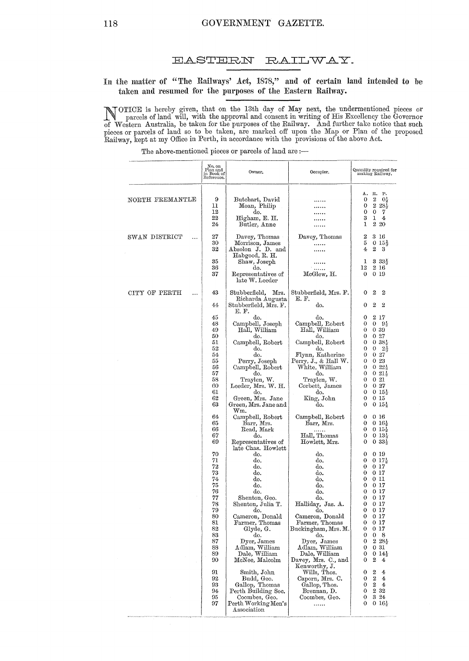#### **EASTERN** RAILWAY.

## In the matter of "The Railways' Act, 1878," and of certain land intended to be taken and resumed for the purposes of the Eastern Railway.

NOTICE is hereby given, that on the 13th day of May next, the undermentioned pieces or parcels of land will, with the approval and consent in writing of His Excellency the Governor of Western Australia, be taken for the pu

The above-mentioned pieces or parcels of land are :-

|                            | $_{\rm Plan}$ and<br>in Book of<br>Reference. | Owner.                                                                        | Occupier.                                       |                             | Quantity required for<br>making Railway.                                                            |
|----------------------------|-----------------------------------------------|-------------------------------------------------------------------------------|-------------------------------------------------|-----------------------------|-----------------------------------------------------------------------------------------------------|
| NORTH FREMANTLE            | 9<br>11<br>12<br>22<br>24                     | Butchart, David<br>Moan, Philip<br>do.<br>Higham, E. H.<br>Butler, Anne       |                                                 | А.<br>0<br>0<br>0<br>3<br>1 | к.<br>P.<br>$\boldsymbol{2}$<br>0 <sup>3</sup><br>$2\,28\frac{1}{3}$<br>0<br>7<br>1<br>4<br>$2\,20$ |
| SWAN DISTRICT<br>$\ddotsc$ | 27<br>30<br>32                                | Davey, Thomas<br>Morrison, James<br>Absolon J. D. and                         | Davey, Thomas<br>.                              | 2<br>5<br>4                 | $3\ \ 16$<br>$0.15\frac{1}{3}$<br>2<br>3                                                            |
|                            | 35<br>36<br>37                                | Habgood, R. H.<br>Shaw, Joseph<br>do.<br>Representatives of<br>late W. Leeder | McGlew, H.                                      | 1<br>12<br>0                | 335<br>2 16<br>0 19                                                                                 |
| CITY OF PERTH<br>$\ddotsc$ | 43                                            | Stubberfield,<br>Mrs.<br>Richarda Augusta                                     | Stubberfield, Mrs. F.<br>E. F.                  | 0                           | 2<br>$\boldsymbol{2}$                                                                               |
|                            | 44                                            | Stubberfield, Mrs. F.<br>E. F.                                                | do.                                             | 0                           | 2<br>2                                                                                              |
|                            | 45<br>48<br>49<br>50                          | do.<br>Campbell, Joseph<br>Hall, William<br>do.                               | do.<br>Campbell, Robert<br>Hall, William<br>do. | 0<br>0<br>0<br>0            | 217<br>0<br>95<br>039<br>$0\,27$                                                                    |
|                            | 51<br>52                                      | Campbell, Robert<br>do.                                                       | Campbell, Robert<br>do.                         | 0<br>0                      | $0.38\%$<br>$2\frac{1}{2}$<br>0                                                                     |
|                            | 54                                            | do.                                                                           | Flynn, Katherine                                | 0                           | $0\,27$                                                                                             |
|                            | 55<br>56                                      | Perry, Joseph<br>Campbell, Robert                                             | Perry, J., & Hall W.<br>White, William          | 0<br>0                      | 023<br>$0.22\frac{1}{9}$                                                                            |
|                            | 57<br>58                                      | do.<br>Traylen, W.                                                            | do.<br>Traylen, W.                              | 0<br>0                      | $0.21\%$<br>021                                                                                     |
|                            | 60                                            | Leeder, Mrs. W. H.                                                            | Corbett, James                                  | 0                           | $0\,27$                                                                                             |
|                            | 61<br>62<br>63                                | do.<br>Green, Mrs. Jane<br>Green, Mrs. Jane and<br>$_{\rm Wm.}$               | do.<br>King, John<br>do.                        | 0<br>0<br>0                 | $0.15\frac{1}{3}$<br>0 15<br>$0.15\frac{1}{3}$                                                      |
|                            | 64<br>65                                      | Campbell, Robert<br>Barr, Mrs.                                                | Campbell, Robert<br>Barr, Mrs.                  | 0<br>0                      | 0 16<br>$0\;16\frac{1}{2}$                                                                          |
|                            | 66                                            | Read, Mark                                                                    |                                                 | 0                           | $0.15\frac{1}{3}$                                                                                   |
|                            | 67<br>69                                      | do.<br>Representatives of<br>late Chas. Howlett                               | Hall, Thomas<br>Howlett, Mrs.                   | 0<br>0                      | $0.13\frac{1}{2}$<br>$0.33\frac{1}{3}$                                                              |
|                            | 70<br>71                                      | do.<br>do.                                                                    | do.<br>do.                                      | 0<br>0                      | 0 19<br>$0.17\frac{1}{2}$                                                                           |
|                            | 72                                            | do.                                                                           | do.                                             | 0                           | 017                                                                                                 |
|                            | 73<br>74                                      | do.<br>do.                                                                    | do.<br>do.                                      | 0<br>0                      | 0 17<br>0 11                                                                                        |
|                            | 75                                            | do.                                                                           | đ٥.                                             | 0                           | 0 17                                                                                                |
|                            | 76<br>77                                      | do.<br>Shenton, Geo.                                                          | do.<br>do.                                      | 0<br>0                      | 0 17<br>0 17                                                                                        |
|                            | 78                                            | Shenton, Julia T.                                                             | Halliday, Jas. A.                               | 0                           | $0\,17$                                                                                             |
|                            | 79<br>80                                      | do.<br>Cameron, Donald                                                        | do.<br>Cameron, Donald                          | 0<br>0                      | 017<br>$0\;17$                                                                                      |
|                            | 81                                            | Farmer, Thomas                                                                | Farmer, Thomas                                  | 0                           | $0\;17$                                                                                             |
|                            | 82<br>83                                      | Glyde, G.<br>do.                                                              | Buckingham, Mrs. M.<br>do.                      | 0<br>0                      | 017<br>0<br>8                                                                                       |
|                            | 87                                            | Dyer, James                                                                   | Dyer, James                                     | 0                           | $2\,28$                                                                                             |
|                            | 88<br>89                                      | Adlam, William                                                                | Adlam, William<br>Dale, William                 | 0<br>0                      | 031<br>$014\frac{1}{2}$                                                                             |
|                            | 90                                            | Dale, William<br>McNee, Malcolm                                               | Davey, Mrs. C., and<br>Kenworthy, J.            | 0                           | 2<br>4                                                                                              |
|                            | 91<br>92                                      | Smith, John<br>Budd, Geo.                                                     | Wills, Thos.<br>Caporn, Mrs. C.                 | 0<br>0                      | 2<br>4<br>$\bf{2}$<br>4                                                                             |
|                            | 93                                            | Gallop, Thomas                                                                | Gallop, Thos.                                   | 0                           | 2<br>4.                                                                                             |
|                            | 94                                            | Perth Building Soc.<br>Coombes, Geo.                                          | Brennan, D.                                     | 0<br>0                      | 2 3 2<br>3 24                                                                                       |
|                            | 95<br>97                                      | Perth Working Men's<br>Association                                            | Coombes, Geo.<br>.                              | 0                           | $0.16\frac{1}{2}$                                                                                   |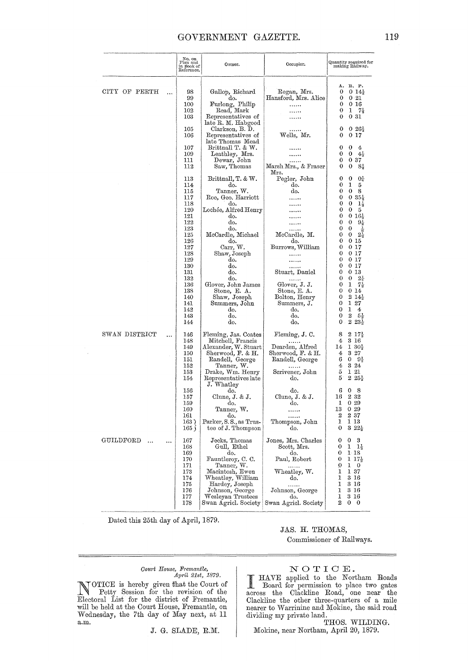## GOVERNMENT GAZETTE.

|                        | No. on<br>Plan and<br>in Book of<br>Reference.                                | Owner.                                                                                                                                                                                           | Occupier.                                                                                                                                    | Quantity required for<br>making Railway.                                                                                                                                                                          |
|------------------------|-------------------------------------------------------------------------------|--------------------------------------------------------------------------------------------------------------------------------------------------------------------------------------------------|----------------------------------------------------------------------------------------------------------------------------------------------|-------------------------------------------------------------------------------------------------------------------------------------------------------------------------------------------------------------------|
| CITY OF PERTH          | 98<br>99<br>100<br>$^{102}$<br>103                                            | Gallop, Richard<br>do.<br>Furlong, Philip<br>Read, Mark<br>Representatives of                                                                                                                    | Regan, Mrs.<br>Hansford, Mrs. Alice<br>.                                                                                                     | А.<br>R. P.<br>0<br>$014\frac{1}{2}$<br>0<br>0.21<br>0<br>016<br>$1 \t7\frac{1}{2}$<br>0<br>0<br>0 31                                                                                                             |
|                        | 105<br>106                                                                    | late R. M. Habgood<br>Clarkson, B. D.<br>Representatives of<br>late Thomas Mead                                                                                                                  | .<br>Wells, Mr.                                                                                                                              | 0<br>$0.26\frac{1}{2}$<br>017<br>0                                                                                                                                                                                |
|                        | 107<br>109<br>111<br>112                                                      | Brittnall T. & W.<br>Leathley, Mrs.<br>Dewar, John<br>Saw, Thomas                                                                                                                                | Marsh Mrs., & Fraser<br>Mrs.                                                                                                                 | 0<br>0<br>4<br>0<br>0<br>$4\frac{1}{2}$<br>0<br>037<br>0<br>0<br>$8\frac{1}{2}$                                                                                                                                   |
|                        | 113<br>114<br>115<br>117<br>118<br>120                                        | Brittnall, T. & W.<br>do.<br>Tanner, W.<br>Roe, Geo. Harriott<br>do.<br>Lochée, Alfred Henry                                                                                                     | Pegler, John<br>do.<br>do.                                                                                                                   | 0<br>$0\frac{1}{4}$<br>0<br>0<br>1<br>5<br>0<br>0<br>8<br>0<br>$0.35\frac{1}{2}$<br>0<br>0<br>$1\frac{1}{2}$<br>0<br>0<br>5                                                                                       |
|                        | 121<br>122<br>123<br>125<br>126                                               | do.<br>do.<br>do.<br>McCardle, Michael<br>do.                                                                                                                                                    | McCardle, M.<br>do.                                                                                                                          | 0<br>$0.16\frac{1}{2}$<br>0<br>0<br>$9\frac{1}{2}$<br>0<br>0<br>늠<br>0<br>0<br>$2\frac{1}{3}$<br>0<br>0 15                                                                                                        |
|                        | 127<br>128<br>129<br>130<br>131<br>132                                        | Carr, W.<br>Shaw, Joseph<br>do.<br>do.<br>do.<br>do.                                                                                                                                             | Burrows, William<br><br>.<br>.<br>Stuart, Daniel<br>.                                                                                        | 0<br>0 17<br>0<br>0 17<br>0<br>0 17<br>$0\;17$<br>0<br>013<br>0<br>$2\frac{1}{4}$<br>0<br>0                                                                                                                       |
|                        | 136<br>138<br>140<br>141<br>142<br>143<br>144                                 | Glover, John James<br>Stone, E. A.<br>Shaw, Joseph<br>Summers, John<br>do.<br>do.<br>do.                                                                                                         | Glover, J. J.<br>Stone, E. A.<br>Bolton, Henry<br>Summers, J.<br>do.<br>do.<br>do.                                                           | 1<br>74<br>0<br>0<br>014<br>0<br>214<br>0<br>$1\,27$<br>0<br>1.<br>4<br>2<br>0<br>$5\frac{1}{2}$<br>$2\,23$<br>0                                                                                                  |
| SWAN DISTRICT          | <br>146<br>148<br>149<br>150<br>151<br>152<br>153<br>154                      | Fleming, Jas. Coates<br>Mitchell, Francis<br>Alexander, W. Stuart<br>Sherwood, F. & H.<br>Randell, George<br>Tanner, W.<br>Drake, Wm. Henry<br>Representatives late<br>J. Whatley                | Fleming, J. C.<br>Dearden, Alfred<br>Sherwood, F. & H.<br>Randell, George<br>Scrivener, John<br>do.                                          | 8<br>$2\;17\frac{1}{2}$<br>3 16<br>4<br>14<br>$130\frac{1}{3}$<br>3 27<br>4<br>6<br>0<br>$9\frac{1}{2}$<br>4<br>$3\hspace{0.1cm}24$<br>5<br>1 21<br>5<br>$2\,25\frac{1}{2}$                                       |
|                        | 156<br>157<br>159<br>160<br>161<br>163<br>165 (                               | do.<br>Clune, J. & J.<br>do.<br>Tanner, W.<br>do.<br>Parker, S.S., as Trus-<br>tee of J. Thompson                                                                                                | do.<br>Clune, J. & J.<br>do.<br><br>Thompson, John<br>do.                                                                                    | 6<br>8<br>0<br>2 3 2<br>16<br>0 29<br>1<br>13<br>029<br>$\boldsymbol{2}$<br>$2\,37$<br>1<br>113<br>0<br>$322\frac{1}{2}$                                                                                          |
| GUILDFORD<br>$\ddotsc$ | <br>167<br>168<br>169<br>170<br>171<br>173<br>174<br>175<br>176<br>177<br>178 | Jecks, Thomas<br>Gull, Ethel<br>do.<br>Fauntleroy, C. C.<br>Tanner, W.<br>Macintosh, Ewen<br>Wheatley, William<br>Hardey, Joseph<br>Johnson, George<br>Wesleyan Trustees<br>Swan Agricl. Society | Jones, Mrs. Charles<br>Scott, Mrs.<br>do.<br>Paul, Robert<br>.<br>Wheatley, W.<br>do.<br>.<br>Johnson, George<br>do.<br>Swan Agricl. Society | 3<br>0<br>$\mathbf 0$<br>$1\frac{1}{2}$<br>0<br>1<br>0<br>$1\,18$<br>117<br>0<br>0<br>1<br>$\theta$<br>1<br>137<br>1<br>3 16<br>1<br>3 16<br>3 16<br>1<br>1<br>3 16<br>$\overline{2}$<br>$\mathbf{0}$<br>$\bf{0}$ |

Dated this 25th day of April, 1879.

JAS. H. THOMAS,

Commissioner of Railways.

## $\begin{tabular}{ll} Court & House, {\it {\it Fermantle}}, \\ A pril & 21st, \ 1879. \end{tabular}$

NOTICE is hereby given that the Court of<br>Fetty Session for the revision of the<br>Electoral List for the district of Fremantle,<br>will be held at the Court House, Fremantle, on<br>Wednesday, the 7th day of May next, at 11  $a.m.$ 

J. G. SLADE, R.M.

NOTICE.<br>
HAVE applied to the Northam Roads<br>
Board for permission to place two gates<br>
across the Clackline Road, one near the Clackline the other three-quarters of a mile<br>nearer to Warrinine and Mokine, the said road dividing my private land.

THOS. WILDING. Mokine, near Northam, April 20, 1879.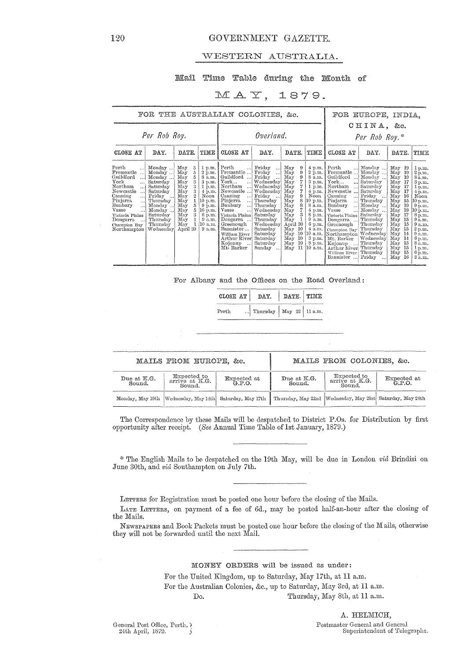## GOVERNMENT GAZETTE.

## WESTERN AUSTRALIA.

## Mail Time Table during the Month of

## $MAY$ , 1879.

FOR THE AUSTRALIAN COLONIES, &c.

Ĩ

## FOR EUROPE, INDIA, CHINA, &c.

| Per Rob Roy.                                                                                                                                                                                                                                                                         |                                                                                                                                                           |                                                                                                                                                            |                                                                                                                                                     |                                                                                                                                                                                                                                                                                                                                       | Overland.                                                                                                                                                                                                                                |                                                                                                                                                                                                             |                                                                                                                                                                                                         | Per Rob Roy.*                                                                                                                                                                                                                                                                                                                                                                          |                                                                                                                                                                                                         |                                                                                                                                                                                                                                                                   |                                                                                                                                                                                                 |
|--------------------------------------------------------------------------------------------------------------------------------------------------------------------------------------------------------------------------------------------------------------------------------------|-----------------------------------------------------------------------------------------------------------------------------------------------------------|------------------------------------------------------------------------------------------------------------------------------------------------------------|-----------------------------------------------------------------------------------------------------------------------------------------------------|---------------------------------------------------------------------------------------------------------------------------------------------------------------------------------------------------------------------------------------------------------------------------------------------------------------------------------------|------------------------------------------------------------------------------------------------------------------------------------------------------------------------------------------------------------------------------------------|-------------------------------------------------------------------------------------------------------------------------------------------------------------------------------------------------------------|---------------------------------------------------------------------------------------------------------------------------------------------------------------------------------------------------------|----------------------------------------------------------------------------------------------------------------------------------------------------------------------------------------------------------------------------------------------------------------------------------------------------------------------------------------------------------------------------------------|---------------------------------------------------------------------------------------------------------------------------------------------------------------------------------------------------------|-------------------------------------------------------------------------------------------------------------------------------------------------------------------------------------------------------------------------------------------------------------------|-------------------------------------------------------------------------------------------------------------------------------------------------------------------------------------------------|
| CLOSE AT                                                                                                                                                                                                                                                                             | DAY.                                                                                                                                                      | DATE.                                                                                                                                                      | TIME                                                                                                                                                | CLOSE AT                                                                                                                                                                                                                                                                                                                              | DAY.                                                                                                                                                                                                                                     | DATE.                                                                                                                                                                                                       | TIME                                                                                                                                                                                                    | CLOSE AT                                                                                                                                                                                                                                                                                                                                                                               | DAY.                                                                                                                                                                                                    | DATE.                                                                                                                                                                                                                                                             | TIME                                                                                                                                                                                            |
| Perth<br>!<br>Fremantle<br>Guildford<br>. 1<br>${\rm York}$<br>$\cdots$<br>Northam<br>أحدث<br>Newcastle<br>$\ddotsc$<br>Canning<br>$\cdots$<br>Pinjarra<br>!<br>Bunbury<br>$\ddotsc$<br>Vasse<br>$\cdots$<br>Victoria Plains<br>Dongarra<br>$\ddotsc$<br>Champion Bay<br>Northampton | Monday<br>Monday<br>Monday<br>Saturday<br>Saturday<br>Saturday<br>Friday<br>Thursday<br>Monday<br>Monday<br>Saturday<br>Thursday<br>Thursday<br>Wednesday | May<br>5<br>5<br>May<br>5<br>May<br>3<br>May<br>s<br>May<br>3<br>May<br>2<br>May<br>May<br>5<br>May<br>5<br>May<br>3<br>May<br>May<br>1<br>May<br>April 30 | 2 p.m.<br>8 a.m.<br>$3$ p.m.<br>1 p.m.<br>Noon<br>(10 p.m. §<br>$9 \text{ p.m.}$<br>$ 10 \rangle$ p.m. $ $<br>8 p.m.<br>9 a.m.<br>:10 a.m.<br>9a.m. | $1 p.m.$ Perth<br>Fremantle<br>Guildford<br>$\ddotsc$<br>${\tt York}$<br>!<br>  Northam<br>$\ldots$<br>4 p.m. Newcastle<br>Canning<br><br>Pinjarra<br>$\ldots$<br>Bunbury<br>. 1<br>Vasse<br>$\ldots$<br>Victoria Plains<br>Dongarra<br>Greenough<br>Bannister<br>William River<br>Arthur River<br>Kojonup<br>$\ddotsc$<br>Mt: Barker | Friday<br>$\ddotsc$<br>Fridav<br>$\ddots$<br>Friday<br>Wednesday<br>Wednesday<br>Wednesday<br>Friday<br>Thursday<br>Thursday<br>Wednesday<br>Saturday<br>Thursday<br>Wednesday<br>Saturday<br>Saturday<br>Saturday<br>Saturday<br>Sunday | May<br>9<br>May<br>9<br>May<br>9<br>May<br>May<br>May<br>May<br>9<br>8<br>May<br>8<br>May<br>May<br>3<br>May<br>May<br>April 30<br>$\rm{May}$ 10<br>10<br>May<br>10<br>May<br>10<br>May<br>11<br>$\rm{May}$ | $4$ p.m. $\blacksquare$<br>$2$ p.m.<br>8 a.m.<br>3 р.ш.<br>1 p.m.<br>4 p.m.<br>Noon.<br>$10$ p.m. $ $<br>8 a.m.<br>$4$ p.m.<br>8 p.m.<br>9 a.m.<br>$6$ p.m.<br>4a.m.<br>8 p.m.  <br>$ 10 \text{ a.m.} $ | $\operatorname{Perth}$<br>Fremantle<br>Guildford<br>. 1<br>$\operatorname{York}$<br>Northam<br>Newcastle<br>Canning<br>. 1<br>Pinjarra<br>Bunbury<br>. 1<br>Vasse<br>. 1<br>Victoria Plains Saturday<br>Dongarra<br>Greenough<br>Champion Bay Thursday<br>10 a.m. Northampton Wednesday<br>3 p.m.   Mt. Barker<br>Kojonup<br>ا  ا<br>Arthur River<br>William River<br>Bannister<br>. 1 | Monday<br>Monday<br>Monday<br>Saturday<br>Saturday<br>Saturday<br>Friday<br>$\cdots$<br>Thursday<br>Monday<br>Monday<br>Thursday<br>Thursday<br>Wednesday<br>Thursday<br>Thursday<br>Thursday<br>Friday | May<br>-19<br>May<br>19<br>May<br>19<br>May<br>17<br>May<br>17<br>May<br>17<br>May<br>16<br>May<br>15<br>May<br>19<br>May<br>19<br>May<br>17<br>May<br>15<br>May<br>15<br>May<br>15<br>May<br>14<br>14<br>May<br>15<br>May<br>May<br>15<br>Mav<br>15<br>16<br>May | 1 p.m.<br>2p,m.<br>8a.m.<br>3 p.m.<br>1 p.m.<br>4 p.m.<br>Noon<br>10 p.m.<br>9 p.m.<br>10 p.m.<br>8 p.m.<br>9a.m.<br>9 a.m.<br>2p.m.<br>9 a.m.<br>6 p.m.<br>8 a.m.<br>1 p.m.<br>6 p.m.<br>2a.m. |

For Albany and the Offices on the Road Overland:

| CLOSE AT         | DAY.                        | DATE. TIME |  |
|------------------|-----------------------------|------------|--|
| $\mathrm{Perth}$ | Thursday   May 22   11 a.m. |            |  |

|                       | MAILS FROM EUROPE, &c.                  |                                                                                                                           |                       | MAILS FROM COLONIES, &c.                |                    |
|-----------------------|-----------------------------------------|---------------------------------------------------------------------------------------------------------------------------|-----------------------|-----------------------------------------|--------------------|
| Due at K.G.<br>Sound. | Expected to<br>arrive at K.G.<br>Sound. | Expected at<br>G.P.O.                                                                                                     | Due at K.G.<br>Sound. | Expected to<br>arrive at K.G.<br>Sound. | Expected at G.P.O. |
|                       |                                         | Monday, May 19th  Wednesday, May 14th   Saturday, May 17th   Thursday, May 22nd  Wednesday, May 21st   Saturday, May 24th |                       |                                         |                    |

The Correspondence by these Mails will be despatched to District P.Os. for Distribution by first opportunity after receipt. (See Annual Time Table of 1st January, 1879.)

\* The English Mails to be despatched on the 19th May, will be due in London vid Brindisi on June 30th, and vid Southampton on July 7th.

LETTERS for Registration must be posted one hour before the closing of the Mails.

LATE LETTERS, on payment of a fee of 6d., may be posted half-an-hour after the closing of the Mails.

NEWSPAPERS and Book Packets must be posted one hour before the closing of the Mails, otherwise they will not be forwarded until the next Mail.

### MONEY ORDERS will be issued as under:

For the United Kingdom, up to Saturday, May 17th, at 11 a.m. For the Australian Colonies, &c., up to Saturday, May 3rd, at 11 a.m. Thursday, May 8th, at 11 a.m.

Do.

A. HELMICH, Postmaster General and General Superintendent of Telegraphs.

General Post Office, Perth, ? 24th April, 1879.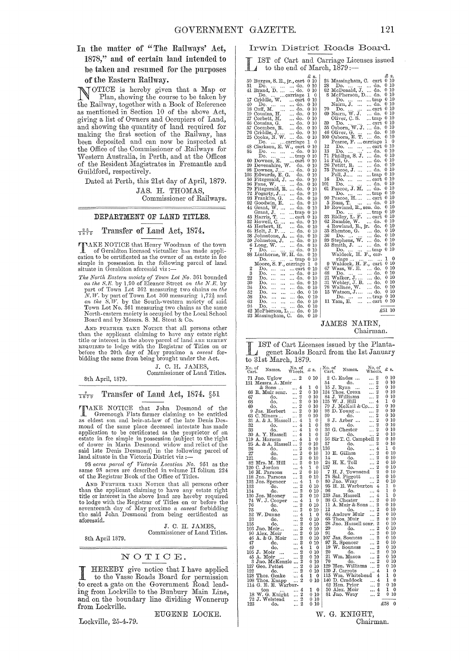In the matter of "The Railways' Act, 1878," aml of certain laud intended to be taken and resumed for the purposes of the Eastern Railway.

NOTICE is hereby given that a Map or Plan, showing the course to be taken by the Railway, together with a Book of Reference as mentioned in Section 10 of the above Act, giving a list of Owners and Occupiers of Land, and showing the quantity of land required for making the first section of the Railway, has been deposited and can now be inspected at the Office of the Commissioner of .Railways for Western Australia, in Perth, and at the Offices of the Resident Magistrates in Fremantle and Guildford, respectively.

Dated at Perth, this 21st day of April, 1879. JAS. H. THOMAS,

Commissioner of Railways.

## DEPARTMENT OF LAND TITLES.

 $\frac{25}{1879}$  Transfer of Land Act, 1874.

TIME NOTICE that Henry Woodman of the town of Geraldton licensed victualler has made application to be certificated as the owner of an estate in fee simple in possession in the following parcel of land situate in Geraldton

*The North Eastern moiety of Town Lot No.* 361 bounded *on the S.E.* by 1.90 of Eleanor Street *on the N.E.* by part of Town Lot 362 measuring two chains *on the N.W.* by part of Town Lot 360 measuring 1,72<sup>1</sup> and *on the S.W.* by the South-western moiety of said Town Lot No. 361 measuring two chains as the same North-eastern moiety is occupied by the Local School<br>Board and by Messrs. S. M. Stout & Co.

AND FURTHER TAKE NOTICE that all persons other the or interest in the above parcel of land ARE right<br>title or interest in the above parcel of land ARE HEREBY<br>neavnew to lodge with the Registrar of Titles on or<br>before the 20th day of May proximo a *caveat* forbidding the same from being brought under the Act.

J. C. H. JAMES Commissioner of Land Titles.

8th April, 1879.

 $\frac{7}{1879}$  Transfer of Land Act, 1874. §51

TAKE NOTICE that John Desmond of the Greenough Flats farmer claiming to be entitled as eldest son and heir-at-Iaw of the late Denis Desmond of the same place deceased intestate has made application to be certificated as the proprietor of an estate in fee simple in possession (subject to the right of dower in Maria Desmond widow and relict of the said late Denis Desmond) in the following parcel of land sit

98 *acres parcel of Victoria Location No.* 951 as the same 98 acres are described in volume II folium 224 of the Registrar Book of the Office of Titles.

AND FURTHER TAKE NOTICE that all persons other than the applicant claiming to have any estate right<br>title or interest in the above land are hereby required<br>to lodge with the Registrar of Titles on or before the<br>seventeenth day of May proximo a *caveat* forbidding<br>the aforesaid.

J. C. H. JAMES Commissioner of Land Titles.

EUGENE LOOKE.

8th April 1879.

## NOTIOE.

I HEREBY give notice that I have applied to the Vasse Roads Board for permission to erect a gate on the Government Road leading from Lockville to the Bunbury Main Line, and on the boundary line dividing Wonnerup from Lockville.

Lockville, 25-4-79.

## Irwin District Roads Board\_

L IST of Cart and Carriage Licenses issued to the end of March,  $1879$  :-

|                |                                          | £ s.              | £ s.                                                             |
|----------------|------------------------------------------|-------------------|------------------------------------------------------------------|
|                | 50 Burges, S. E., jr., cart              | 0 10              | 24 Massingham, C. cart<br>10<br>0                                |
| 51             | Do.                                      | $0\,10$           | -10<br>0                                                         |
|                | do.                                      |                   | 28 Do.    do.<br>82 McDonald, J.  do.<br>0 10                    |
|                | 41 Brand, D.   do.                       | 0 10              | 0 10                                                             |
|                | Do.   carriage                           | 1<br>$\mathbf{0}$ | 8 McPherson, D do.                                               |
|                | 17 Criddle, W.<br>cart                   | 0 10              | 0 10<br>trap<br>Do.<br>$\cdots$                                  |
| 40             | Do.<br>do.                               | 0 10              | 0 10<br>Nairn, J.<br>do.                                         |
|                | $18$ Cuff, M.<br>$19$ Cousins, H.<br>do. | 0 10              | 0 10<br>70 Do.<br>69 Nairn, W. J.<br>cart                        |
|                | do.                                      | $0\,10$           | -10<br>0<br>do.                                                  |
|                | 27 Corbett, M.<br>do.                    | 0 10              | 10<br>Oliver, C.S.<br>0.<br>trap                                 |
|                | 66 Cousins, G.<br>do.                    | 0 10              | 0 10<br>cart<br>39 Do.    eart<br>55 Osborn, W. J.  do.          |
|                | 57 Coombes, R.<br>do.                    | $0\,10$           | $0\,10$                                                          |
|                | 76 Criddle, J.<br>do.                    | 0 10              | 46 Oliver, G.   do.<br>100 Osborn, E. T.  do.<br>0 10            |
|                | 25 Cooke, N. W.<br>do.                   | 010               | -10<br>0                                                         |
|                | Do.   carriage                           | ı<br>0            | 1<br>0<br>Pearse, F.  carriage                                   |
|                | 48 Clarkson, E. W., cart                 | 0<br>10           | 10<br>12<br>0<br>Do.<br>cart                                     |
| 84             |                                          | 10<br>0           | $\ldots$<br>10<br>13<br>0.<br>Do.<br>$\dddotsc$<br>do.           |
|                | Do.    do.                               |                   | $0\,10$                                                          |
|                | Do.<br>trap                              | 0<br>10           | 71 Phillips, S. J.<br>do.<br>0 10                                |
|                | 60 Downes, E.  cart                      | $0\,$ $10$        | 14 Pell, G.<br>$\cdots$<br>do.                                   |
|                | 20 Devenshire, W.<br>do.                 | 0 10              | $0\,10$<br>26 Petitt, R.<br><br>do.                              |
|                | 98 Downes, J  do.                        | 0 10              | 0 10<br>75 Pascoe, J.<br>do.                                     |
|                | 103 Edwards, E. G. do.                   | 0 10              | 0 10<br>$\ddotsc$<br>Pell, J<br>$$ trap                          |
|                | 56 Fitzgerald, J.  do.                   | $0\,10$           | 10<br>0<br>16<br>Do.<br>cart                                     |
|                | 96 Fane, W.<br>do.                       | 0 10              | 0 10<br>101<br>Do.<br>do.<br>$\ldots$                            |
|                | 79 Fitzgerald, R.  do.                   | $0\,10$           | 0 10<br>61 Pascoe, J. M.<br>do.                                  |
|                | $72$ Fogarty, $J$<br>do.                 | 010               | 010<br>Do.<br>trap                                               |
|                | 93 Franklin, G.<br>do.                   | 0.<br>10          | 10<br>90 Pascoe, H<br>0.<br>cart                                 |
|                | 92 Goodwin, E.<br>do.                    | 0 10              | 5 Russ, T.<br>10<br>0.<br>do.                                    |
|                | 44 Grant, W.<br>do.                      | 0 10              | $0\,10$<br>10 Rowland, R., sen. do.                              |
|                | Grant, $J.$<br>$\dots$ trap              | $0\,10$           | 10<br>0<br>trap                                                  |
|                | 43 Harris, T.<br>cart                    | $0\,10$           | Do.<br>33 Ridley, L. F.<br>0 10<br>cart                          |
|                | 32 Howell, C.<br>do.                     | 0.<br>10          | 10<br>62 Rumble, W.  do.<br>0                                    |
|                | 45 Herbert, H.<br>do.                    | 010               | 010<br>4 Rowland, R., jr. do.                                    |
|                | do.                                      |                   | 10<br>35 Shenton, G.  do.<br>0                                   |
|                | 64 Holt, J. P.                           | 0 10              | 10<br>0<br>36                                                    |
|                | 38 Johnstone, A.  do.                    | 0 10              | Do.<br>do.<br>10<br>0                                            |
|                | 59 Johnston, J.<br>do.                   | 0 10              | 89 Stephens, W.  do.<br>10<br>0                                  |
|                | 6 Long, W. $\dots$<br>do.                | 0 10              | 53 Smith, J.<br>do.                                              |
| 7              | Do.<br>do.<br>$\ddotsc$                  | 10<br>0.          | 10<br>0<br>Do.<br>trap<br>$\cdots$                               |
|                | 88 Linthorne, W. H. do.                  | 10<br>0           | Waldeck, H. F., car-                                             |
|                | Do.<br>trap                              | 10<br>0           | 1<br>0<br>riage<br>                                              |
|                | Moore, S. F., carriage                   | 1<br>0            | 9 Waldeck, H. F., cart<br>$0\,$ 10 $\,$                          |
| $\overline{2}$ | Do.<br>cart<br>$\cdots$                  | 0 10              | 10<br>67 Wass, W. E.  do.<br>0                                   |
| 3              | Do.<br>do.<br>                           | 0 10              | $0\,$ $10$<br>do.                                                |
| 22             | Do.<br>do.<br>$\cdots$                   | $0\,$ $10$        | 68 Do.<br>21 Walker, J.<br>31 Webley, J. B.<br>$0\,$ $10$<br>do. |
| 30             | Do.<br>$\sim$<br>do.<br>$\cdots$         | 0 10              | 10<br>0<br>do.                                                   |
| 34             | Do.<br>$\cdots$<br>do.<br>$\cdots$       | $0\,10$           | 0 10<br>78 Wallace, W.<br>do.                                    |
| 52             | Do.<br>$\ddotsc$<br>do.<br>i.            | 010               | -10<br>0<br>15 Watson, J<br>do.                                  |
| 58             | Do.<br>do.<br>$\sim$<br>                 | 0 10              | 0<br>10<br>Do.<br>$$ trap                                        |
| 63             | Do.<br>. <i></i> do.<br>$\sim$           | 0 10              | 10<br>0<br>11 Yam, E.<br>cart<br>$\cdots$                        |
| 94             | Do.                                      | $0\,10$           |                                                                  |
| 42             | $\sim$<br>do.<br>$\sim 10^{-11}$         | $0\,10$           | £51 10                                                           |
|                | McPherson, L do.                         |                   |                                                                  |
|                | 23 Massingham, C. do.                    | 0 10              |                                                                  |

## JAMES NAIRN,

Chairman.

L IST of Cart Licenses issued by the Plantagenet Roads Board from the 1st January to  $31st$  March,  $1879$ .

| No. of<br>Cart. | Names.                 | No. of<br>Wheels.           | £ s.          | No. of<br>Cart. | Names.                     | No, of<br>Wheels.           | £ s. |                 |
|-----------------|------------------------|-----------------------------|---------------|-----------------|----------------------------|-----------------------------|------|-----------------|
|                 | 71 Jno. Uglow          | 2<br>$\ddotsc$              | 0 10          |                 | 2 C. Eades<br>$\cdots$     | 2                           | 0.   | 10              |
|                 | 131 Messrs. A. Muir    |                             |               | 54              | do.                        | 2                           | 0    | 10              |
|                 | & Sons                 | 4                           | 1<br>0        | 15              | J. Ryan                    | 2                           | 0    | 10              |
| 66              | R. Muir senr.          | 2                           | 10<br>0       | 124             | $\ddotsc$<br>Thos. Crean   | $\overline{2}$              | 0    | 10              |
|                 |                        | $\ddotsc$<br>$\overline{2}$ |               | 84              |                            | $\overline{2}$              | 0    | 10              |
| 67              | do.                    |                             | 10<br>0       |                 | J. Williams                |                             |      |                 |
| 68              | do.                    | $\overline{2}$<br>          | 0 10          | 125             | W. J. Hill                 | 4                           | 1    | 0               |
| 69              | do.                    | 2                           | 0 10          | 79              | J. McKail & Co             | 2                           | 0    | 10              |
| 9               | Jas. Herbert           | $\overline{2}$              | 10<br>0       | 98              | D. Young                   | $\overline{2}$<br>$\cdots$  | 0    | 10              |
| 63              | C. Miners              | $\overline{2}$              | 10<br>0       | 99              | do.                        | 2<br>                       | 0    | 10              |
| 31              | A. & A. Hassell        | $\overline{4}$              | 1<br>0        | 8               | J. Arber                   | $\overline{2}$              | 0    | 10              |
| 32              | do.                    | 4                           | 1<br>0        | 88              | đо.                        | $\overline{2}$              |      | 0 10            |
| 33              | do.                    | 4                           | 1<br>0        | 36.             | G. Chester                 | $\overline{2}$              | 0    | 10              |
| 30              | A. Y. Hassell          | 4                           | 1<br>$\Omega$ | 37              | do.                        | $\overline{2}$              | 0    | 10              |
| 119             | A. Harsem              | 4                           | 1<br>$\theta$ | 56              | Sir T. C. Campbell         | $\overline{2}$              | 0    | 10              |
| 25              | A. & A. Hassell        | 2                           | 10<br>0       | 57              | do.                        | $\overline{2}$              | 0    | 10              |
| 26              | do.                    | 2                           | 0<br>10       | 136             | do.                        | 4                           | 1    | 0               |
|                 |                        | $\overline{2}$              | 10            | 10              | E. Gillam                  | $\overline{2}$              | 0    | 10              |
| 27              | đ٥.                    | $\overline{2}$              | 0             | 14              |                            | $\overline{2}$              | 0    | 10              |
| 121             | do.                    |                             | 10<br>0       |                 | do.                        | $\overline{2}$              |      |                 |
| 82              | Mrs. M. Hill           | $\overline{2}$              | 10<br>o       |                 | 24 H. K. Toll              |                             | 0    | 10              |
| 120             | C. Jordon              | 4                           | 1<br>0        | 137             | do.                        | $\overline{2}$              | 0    | 10              |
| 16              | M. Parsons             | $\overline{2}$              | 10<br>0       | 7               | H.J. Townsend              | $\overline{2}$              | 0    | 10              |
| 118             | Jno. Parsons           | $\overline{2}$              | 10<br>0       | 78              | Sal. Piggott               | $\overline{2}$              | 0    | 10              |
| 132             | Jos. Spencer           | 4                           | 1<br>0        | 80              | Jno. Wrav                  | $\overline{2}$              | 0    | 10              |
| 133             | do.                    | $\overline{2}$              | 10<br>0       | 95              | H. E. Warburton            | 4                           | 1    | $\bf{0}$        |
| 134             | do.                    | $\overline{2}$              | 10<br>0       | 96              | do.                        | 4                           | ĩ    | $\theta$        |
|                 | 130 Jos. Mooney        | 2                           | 010           | 138             | Jas. Hassell               | 4                           | 1    | 0               |
| 74              | W. J. Cooper           | 4<br>                       | 1<br>0        | 38              | G. Chester                 | 2                           | 0    | $\overline{10}$ |
| 76              | do.                    | 2                           | 0<br>-10      | 11              | A. Muir & Sons             | 2<br>$\ddotsc$              | 0    | 10              |
| 75              | do.                    | 2                           | 10<br>0       | 12              | d٥.                        | 2                           | 0    | 10              |
| 52              | W. Dunne               | 4                           | 1<br>0        | 64              | Andrew Muir                | $\overline{2}$              | 0    | 10              |
| 53              | do.                    | $\overline{2}$              | 0<br>10       | 65              | Thos. Muir                 | 2                           | 0    | 10              |
| 135             | do.                    | $\overline{2}$              | 0<br>10       | 28              | Jno. Hassell senr.         | <br>2                       | 0    | 10              |
| 103             | Jno. Moir              | $\overline{2}$              | 010           | 29              | do.                        | $\overline{2}$              | 0    | 10              |
| 90              |                        | $\overline{2}$              | 0             | 91              | do.                        | $\overline{2}$              | 0    | 10              |
|                 | Alex. Moir             | <br>$\overline{2}$          | 10            | 107             | Jas. Souness               | <br>$\overline{2}$          | 0    | 10              |
|                 | 46 A. & G. Moir        |                             | 10<br>0       |                 |                            | $\cdot$ .<br>$\overline{2}$ | 0    | 10              |
| 47              | do.                    | 2                           | 10<br>0       | 97              | R. Spencer                 |                             |      |                 |
| 49              | đо.                    | 4                           | 1<br>$\theta$ | 19              | W. Souness                 | $\overline{2}$<br>          | 0    | 10              |
|                 | 105 J. Moir<br>        | 2                           | 10<br>0       | $^{20}$         | do.                        | $\overline{2}$              | 0    | 10              |
|                 | 45 A. Moir<br>$\ldots$ | $\overline{2}$              | 0<br>10       | 21              | $\operatorname{Wm}.$ Mason | $\overline{2}$<br>.         | 0    | 10              |
|                 | Jno. McKenzie          | $\overline{2}$<br>$\ddotsc$ | 10<br>0       | 70              | do.                        | $\overline{2}$<br>          | 0    | 10              |
| 127             | Geo, Pettet            | 2<br>                       | 10<br>0       | 129             | 'Hen. Williams             | $\overline{2}$              | 0    | 10              |
| 122             | đ٥.                    | 2                           | 10<br>0       | 139             | J. Carrots                 | 4                           | ı    | 0               |
| 128.            | Thos. Geake            | 4                           | 1<br>0        | 115             | Wm. Whitehead              | 4                           | 1    | 0               |
|                 | 108 Thos. Knapp        | 2<br>.                      | 0<br>10       | 140             | D. Craddock                | 4                           | 1    | $\theta$        |
|                 | 114 G. E. E. Warbur-   |                             |               | 62              | Hen Prior                  | 2                           | 0    | 10              |
|                 | ton                    | 4                           | 0<br>1        | 50              | Alex. Moir                 | 4<br>                       | 1    | 0               |
|                 | 18 W. G. Knight        | $\overline{2}$<br>.         | $0\;10$       | 81              | Jno. Wray                  | 2<br>                       | 0    | 10              |
|                 | 72 J. Welstead         | 2<br>                       | 0<br>-10      |                 |                            |                             |      |                 |
| 123             | do.                    | 2                           | 10<br>0       |                 |                            |                             | £58  | 0               |
|                 |                        |                             |               |                 |                            |                             |      |                 |

#### W. G. KNIGHT, Chairman.